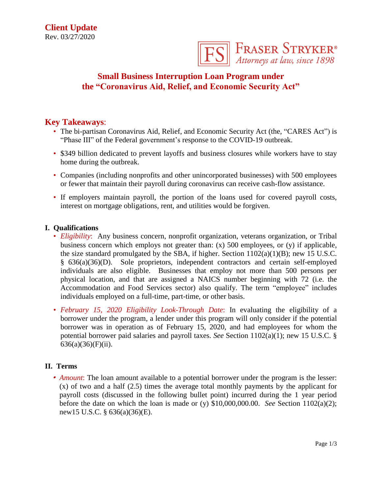

# **Small Business Interruption Loan Program under the "Coronavirus Aid, Relief, and Economic Security Act"**

## **Key Takeaways**:

- The bi-partisan Coronavirus Aid, Relief, and Economic Security Act (the, "CARES Act") is "Phase III" of the Federal government's response to the COVID-19 outbreak.
- \$349 billion dedicated to prevent layoffs and business closures while workers have to stay home during the outbreak.
- Companies (including nonprofits and other unincorporated businesses) with 500 employees or fewer that maintain their payroll during coronavirus can receive cash-flow assistance.
- If employers maintain payroll, the portion of the loans used for covered payroll costs, interest on mortgage obligations, rent, and utilities would be forgiven.

#### **I. Qualifications**

- *Eligibility*: Any business concern, nonprofit organization, veterans organization, or Tribal business concern which employs not greater than: (x) 500 employees, or (y) if applicable, the size standard promulgated by the SBA, if higher. Section  $1102(a)(1)(B)$ ; new 15 U.S.C. § 636(a)(36)(D). Sole proprietors, independent contractors and certain self-employed individuals are also eligible. Businesses that employ not more than 500 persons per physical location, and that are assigned a NAICS number beginning with 72 (i.e. the Accommodation and Food Services sector) also qualify. The term "employee" includes individuals employed on a full-time, part-time, or other basis.
- *February 15, 2020 Eligibility Look-Through Date*: In evaluating the eligibility of a borrower under the program, a lender under this program will only consider if the potential borrower was in operation as of February 15, 2020, and had employees for whom the potential borrower paid salaries and payroll taxes. *See* Section 1102(a)(1); new 15 U.S.C. §  $636(a)(36)(F)(ii)$ .

## **II. Terms**

• *Amount*: The loan amount available to a potential borrower under the program is the lesser:  $(x)$  of two and a half  $(2.5)$  times the average total monthly payments by the applicant for payroll costs (discussed in the following bullet point) incurred during the 1 year period before the date on which the loan is made or (y) \$10,000,000.00. *See* Section 1102(a)(2); new15 U.S.C. § 636(a)(36)(E).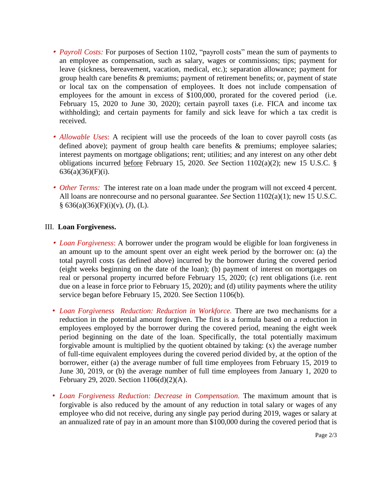- *Payroll Costs:* For purposes of Section 1102, "payroll costs" mean the sum of payments to an employee as compensation, such as salary, wages or commissions; tips; payment for leave (sickness, bereavement, vacation, medical, etc.); separation allowance; payment for group health care benefits & premiums; payment of retirement benefits; or, payment of state or local tax on the compensation of employees. It does not include compensation of employees for the amount in excess of \$100,000, prorated for the covered period (i.e. February 15, 2020 to June 30, 2020); certain payroll taxes (i.e. FICA and income tax withholding); and certain payments for family and sick leave for which a tax credit is received.
- *Allowable Uses*: A recipient will use the proceeds of the loan to cover payroll costs (as defined above); payment of group health care benefits & premiums; employee salaries; interest payments on mortgage obligations; rent; utilities; and any interest on any other debt obligations incurred before February 15, 2020. *See* Section 1102(a)(2); new 15 U.S.C. § 636(a)(36)(F)(i).
- *Other Terms:* The interest rate on a loan made under the program will not exceed 4 percent. All loans are nonrecourse and no personal guarantee. *See* Section 1102(a)(1); new 15 U.S.C.  $§ 636(a)(36)(F)(i)(v), (J), (L).$

#### III. **Loan Forgiveness.**

- *Loan Forgiveness*: A borrower under the program would be eligible for loan forgiveness in an amount up to the amount spent over an eight week period by the borrower on: (a) the total payroll costs (as defined above) incurred by the borrower during the covered period (eight weeks beginning on the date of the loan); (b) payment of interest on mortgages on real or personal property incurred before February 15, 2020; (c) rent obligations (i.e. rent due on a lease in force prior to February 15, 2020); and (d) utility payments where the utility service began before February 15, 2020. See Section 1106(b).
- *Loan Forgiveness Reduction: Reduction in Workforce.* There are two mechanisms for a reduction in the potential amount forgiven. The first is a formula based on a reduction in employees employed by the borrower during the covered period, meaning the eight week period beginning on the date of the loan. Specifically, the total potentially maximum forgivable amount is multiplied by the quotient obtained by taking: (x) the average number of full-time equivalent employees during the covered period divided by, at the option of the borrower, either (a) the average number of full time employees from February 15, 2019 to June 30, 2019, or (b) the average number of full time employees from January 1, 2020 to February 29, 2020. Section 1106(d)(2)(A).
- *Loan Forgiveness Reduction: Decrease in Compensation.* The maximum amount that is forgivable is also reduced by the amount of any reduction in total salary or wages of any employee who did not receive, during any single pay period during 2019, wages or salary at an annualized rate of pay in an amount more than \$100,000 during the covered period that is